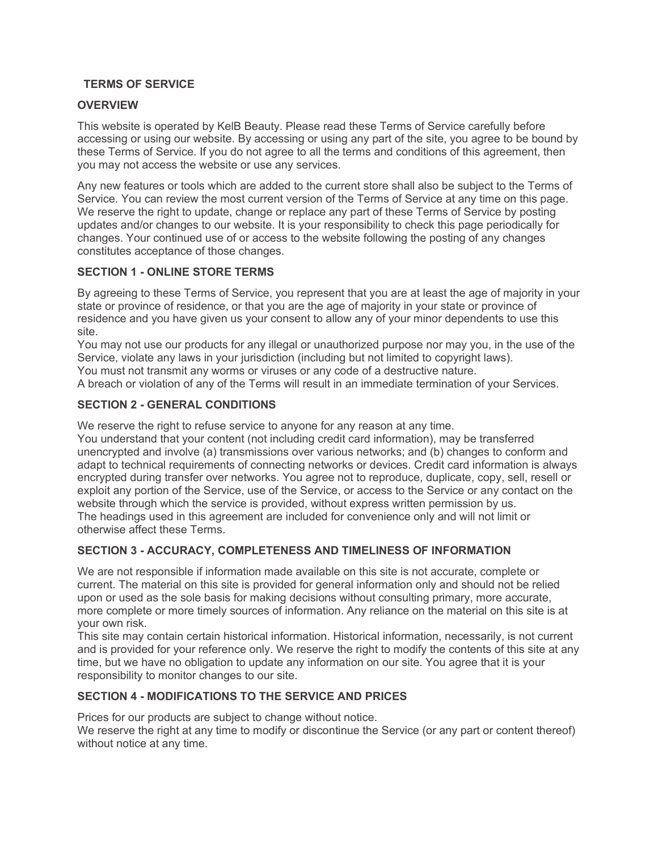## **TERMS OF SERVICE**

### **OVERVIEW**

This website is operated by KelB Beauty. Please read these Terms of Service carefully before accessing or using our website. By accessing or using any part of the site, you agree to be bound by these Terms of Service. If you do not agree to all the terms and conditions of this agreement, then you may not access the website or use any services.

Any new features or tools which are added to the current store shall also be subject to the Terms of Service. You can review the most current version of the Terms of Service at any time on this page. We reserve the right to update, change or replace any part of these Terms of Service by posting updates and/or changes to our website. It is your responsibility to check this page periodically for changes. Your continued use of or access to the website following the posting of any changes constitutes acceptance of those changes.

## **SECTION 1 - ONLINE STORE TERMS**

By agreeing to these Terms of Service, you represent that you are at least the age of majority in your state or province of residence, or that you are the age of majority in your state or province of residence and you have given us your consent to allow any of your minor dependents to use this site.

You may not use our products for any illegal or unauthorized purpose nor may you, in the use of the Service, violate any laws in your jurisdiction (including but not limited to copyright laws). You must not transmit any worms or viruses or any code of a destructive nature.

A breach or violation of any of the Terms will result in an immediate termination of your Services.

## **SECTION 2 - GENERAL CONDITIONS**

We reserve the right to refuse service to anyone for any reason at any time.

You understand that your content (not including credit card information), may be transferred unencrypted and involve (a) transmissions over various networks; and (b) changes to conform and adapt to technical requirements of connecting networks or devices. Credit card information is always encrypted during transfer over networks. You agree not to reproduce, duplicate, copy, sell, resell or exploit any portion of the Service, use of the Service, or access to the Service or any contact on the website through which the service is provided, without express written permission by us. The headings used in this agreement are included for convenience only and will not limit or otherwise affect these Terms.

#### **SECTION 3 - ACCURACY, COMPLETENESS AND TIMELINESS OF INFORMATION**

We are not responsible if information made available on this site is not accurate, complete or current. The material on this site is provided for general information only and should not be relied upon or used as the sole basis for making decisions without consulting primary, more accurate, more complete or more timely sources of information. Any reliance on the material on this site is at your own risk.

This site may contain certain historical information. Historical information, necessarily, is not current and is provided for your reference only. We reserve the right to modify the contents of this site at any time, but we have no obligation to update any information on our site. You agree that it is your responsibility to monitor changes to our site.

#### **SECTION 4 - MODIFICATIONS TO THE SERVICE AND PRICES**

Prices for our products are subject to change without notice.

We reserve the right at any time to modify or discontinue the Service (or any part or content thereof) without notice at any time.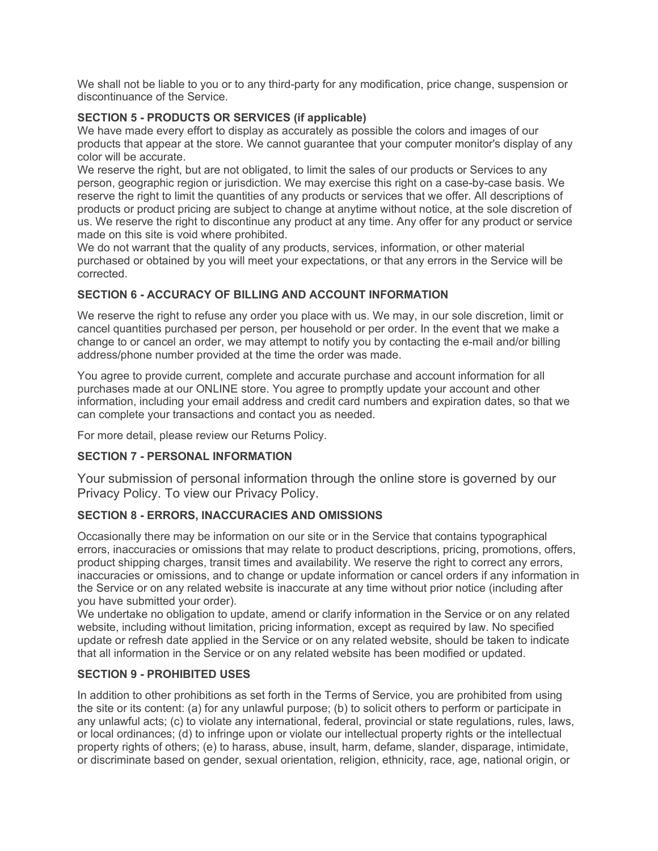We shall not be liable to you or to any third-party for any modification, price change, suspension or discontinuance of the Service.

## **SECTION 5 - PRODUCTS OR SERVICES (if applicable)**

We have made every effort to display as accurately as possible the colors and images of our products that appear at the store. We cannot guarantee that your computer monitor's display of any color will be accurate.

We reserve the right, but are not obligated, to limit the sales of our products or Services to any person, geographic region or jurisdiction. We may exercise this right on a case-by-case basis. We reserve the right to limit the quantities of any products or services that we offer. All descriptions of products or product pricing are subject to change at anytime without notice, at the sole discretion of us. We reserve the right to discontinue any product at any time. Any offer for any product or service made on this site is void where prohibited.

We do not warrant that the quality of any products, services, information, or other material purchased or obtained by you will meet your expectations, or that any errors in the Service will be corrected.

## **SECTION 6 - ACCURACY OF BILLING AND ACCOUNT INFORMATION**

We reserve the right to refuse any order you place with us. We may, in our sole discretion, limit or cancel quantities purchased per person, per household or per order. In the event that we make a change to or cancel an order, we may attempt to notify you by contacting the e-mail and/or billing address/phone number provided at the time the order was made.

You agree to provide current, complete and accurate purchase and account information for all purchases made at our ONLINE store. You agree to promptly update your account and other information, including your email address and credit card numbers and expiration dates, so that we can complete your transactions and contact you as needed.

For more detail, please review our Returns Policy.

#### **SECTION 7 - PERSONAL INFORMATION**

Your submission of personal information through the online store is governed by our Privacy Policy. To view our Privacy Policy.

# **SECTION 8 - ERRORS, INACCURACIES AND OMISSIONS**

Occasionally there may be information on our site or in the Service that contains typographical errors, inaccuracies or omissions that may relate to product descriptions, pricing, promotions, offers, product shipping charges, transit times and availability. We reserve the right to correct any errors, inaccuracies or omissions, and to change or update information or cancel orders if any information in the Service or on any related website is inaccurate at any time without prior notice (including after you have submitted your order).

We undertake no obligation to update, amend or clarify information in the Service or on any related website, including without limitation, pricing information, except as required by law. No specified update or refresh date applied in the Service or on any related website, should be taken to indicate that all information in the Service or on any related website has been modified or updated.

#### **SECTION 9 - PROHIBITED USES**

In addition to other prohibitions as set forth in the Terms of Service, you are prohibited from using the site or its content: (a) for any unlawful purpose; (b) to solicit others to perform or participate in any unlawful acts; (c) to violate any international, federal, provincial or state regulations, rules, laws, or local ordinances; (d) to infringe upon or violate our intellectual property rights or the intellectual property rights of others; (e) to harass, abuse, insult, harm, defame, slander, disparage, intimidate, or discriminate based on gender, sexual orientation, religion, ethnicity, race, age, national origin, or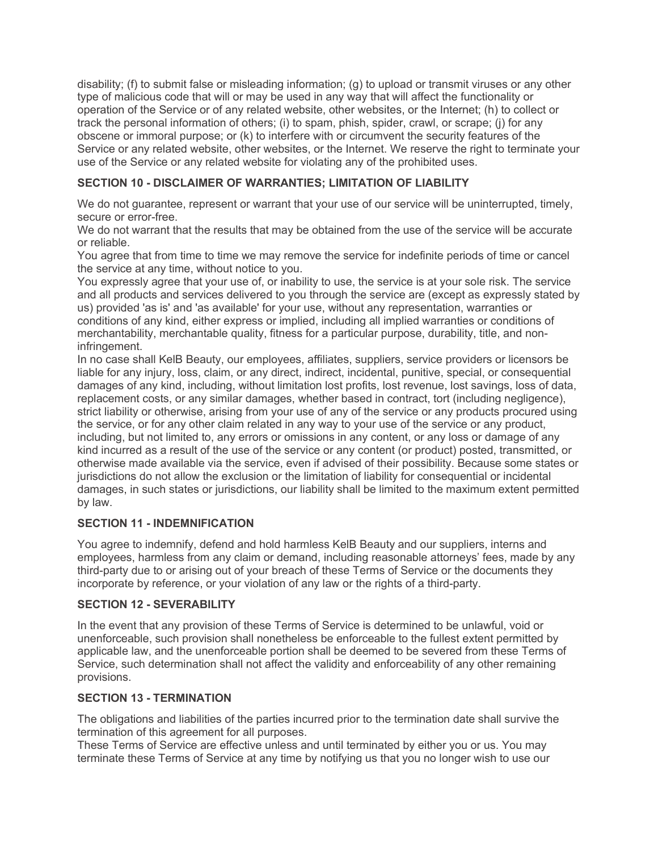disability; (f) to submit false or misleading information; (g) to upload or transmit viruses or any other type of malicious code that will or may be used in any way that will affect the functionality or operation of the Service or of any related website, other websites, or the Internet; (h) to collect or track the personal information of others; (i) to spam, phish, spider, crawl, or scrape; (j) for any obscene or immoral purpose; or (k) to interfere with or circumvent the security features of the Service or any related website, other websites, or the Internet. We reserve the right to terminate your use of the Service or any related website for violating any of the prohibited uses.

# **SECTION 10 - DISCLAIMER OF WARRANTIES; LIMITATION OF LIABILITY**

We do not guarantee, represent or warrant that your use of our service will be uninterrupted, timely, secure or error-free.

We do not warrant that the results that may be obtained from the use of the service will be accurate or reliable.

You agree that from time to time we may remove the service for indefinite periods of time or cancel the service at any time, without notice to you.

You expressly agree that your use of, or inability to use, the service is at your sole risk. The service and all products and services delivered to you through the service are (except as expressly stated by us) provided 'as is' and 'as available' for your use, without any representation, warranties or conditions of any kind, either express or implied, including all implied warranties or conditions of merchantability, merchantable quality, fitness for a particular purpose, durability, title, and noninfringement.

In no case shall KelB Beauty, our employees, affiliates, suppliers, service providers or licensors be liable for any injury, loss, claim, or any direct, indirect, incidental, punitive, special, or consequential damages of any kind, including, without limitation lost profits, lost revenue, lost savings, loss of data, replacement costs, or any similar damages, whether based in contract, tort (including negligence), strict liability or otherwise, arising from your use of any of the service or any products procured using the service, or for any other claim related in any way to your use of the service or any product, including, but not limited to, any errors or omissions in any content, or any loss or damage of any kind incurred as a result of the use of the service or any content (or product) posted, transmitted, or otherwise made available via the service, even if advised of their possibility. Because some states or jurisdictions do not allow the exclusion or the limitation of liability for consequential or incidental damages, in such states or jurisdictions, our liability shall be limited to the maximum extent permitted by law.

# **SECTION 11 - INDEMNIFICATION**

You agree to indemnify, defend and hold harmless KelB Beauty and our suppliers, interns and employees, harmless from any claim or demand, including reasonable attorneys' fees, made by any third-party due to or arising out of your breach of these Terms of Service or the documents they incorporate by reference, or your violation of any law or the rights of a third-party.

# **SECTION 12 - SEVERABILITY**

In the event that any provision of these Terms of Service is determined to be unlawful, void or unenforceable, such provision shall nonetheless be enforceable to the fullest extent permitted by applicable law, and the unenforceable portion shall be deemed to be severed from these Terms of Service, such determination shall not affect the validity and enforceability of any other remaining provisions.

# **SECTION 13 - TERMINATION**

The obligations and liabilities of the parties incurred prior to the termination date shall survive the termination of this agreement for all purposes.

These Terms of Service are effective unless and until terminated by either you or us. You may terminate these Terms of Service at any time by notifying us that you no longer wish to use our